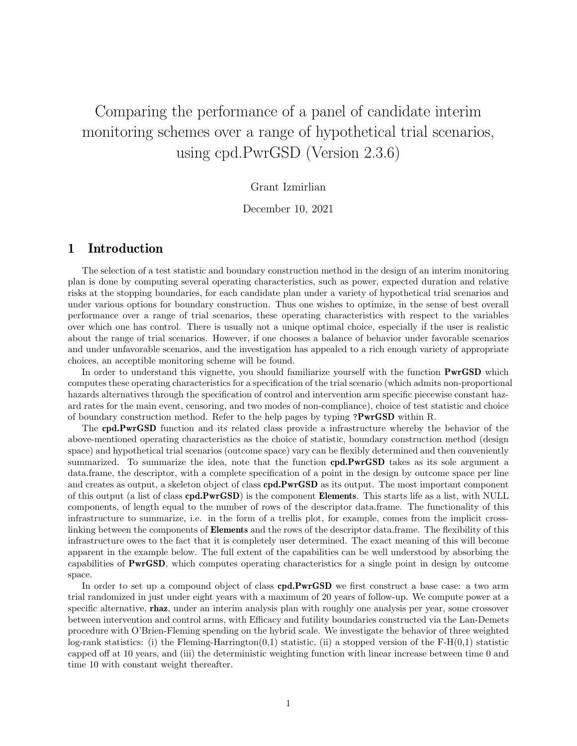## Comparing the performance of a panel of candidate interim monitoring schemes over a range of hypothetical trial scenarios, using cpd.PwrGSD (Version 2.3.6)

## Grant Izmirlian

December 10, 2021

## 1 Introduction

The selection of a test statistic and boundary construction method in the design of an interim monitoring plan is done by computing several operating characteristics, such as power, expected duration and relative risks at the stopping boundaries, for each candidate plan under a variety of hypothetical trial scenarios and under various options for boundary construction. Thus one wishes to optimize, in the sense of best overall performance over a range of trial scenarios, these operating characteristics with respect to the variables over which one has control. There is usually not a unique optimal choice, especially if the user is realistic about the range of trial scenarios. However, if one chooses a balance of behavior under favorable scenarios and under unfavorable scenarios, and the investigation has appealed to a rich enough variety of appropriate choices, an acceptible monitoring scheme will be found.

In order to understand this vignette, you should familiarize yourself with the function **PwrGSD** which computes these operating characteristics for a specification of the trial scenario (which admits non-proportional hazards alternatives through the specification of control and intervention arm specific piecewise constant hazard rates for the main event, censoring, and two modes of non-compliance), choice of test statistic and choice of boundary construction method. Refer to the help pages by typing ?PwrGSD within R.

The cpd.PwrGSD function and its related class provide a infrastructure whereby the behavior of the above-mentioned operating characteristics as the choice of statistic, boundary construction method (design space) and hypothetical trial scenarios (outcome space) vary can be flexibly determined and then conveniently summarized. To summarize the idea, note that the function **cpd.PwrGSD** takes as its sole argument a data.frame, the descriptor, with a complete specification of a point in the design by outcome space per line and creates as output, a skeleton object of class **cpd.PwrGSD** as its output. The most important component of this output (a list of class cpd.PwrGSD) is the component Elements. This starts life as a list, with NULL components, of length equal to the number of rows of the descriptor data.frame. The functionality of this infrastructure to summarize, i.e. in the form of a trellis plot, for example, comes from the implicit crosslinking between the components of Elements and the rows of the descriptor data.frame. The flexibility of this infrastructure owes to the fact that it is completely user determined. The exact meaning of this will become apparent in the example below. The full extent of the capabilities can be well understood by absorbing the capabilities of PwrGSD, which computes operating characteristics for a single point in design by outcome space.

In order to set up a compound object of class **cpd.PwrGSD** we first construct a base case: a two arm trial randomized in just under eight years with a maximum of 20 years of follow-up. We compute power at a specific alternative, rhaz, under an interim analysis plan with roughly one analysis per year, some crossover between intervention and control arms, with Efficacy and futility boundaries constructed via the Lan-Demets procedure with O'Brien-Fleming spending on the hybrid scale. We investigate the behavior of three weighted log-rank statistics: (i) the Fleming-Harrington(0,1) statistic, (ii) a stopped version of the  $F-H(0,1)$  statistic capped off at 10 years, and (iii) the deterministic weighting function with linear increase between time 0 and time 10 with constant weight thereafter.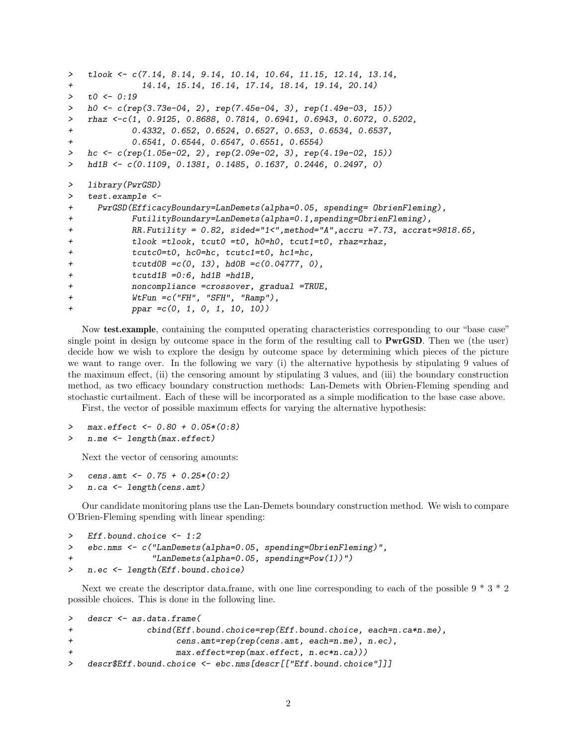```
> tlook \leq c(7.14, 8.14, 9.14, 10.14, 10.64, 11.15, 12.14, 13.14,
+ 14.14, 15.14, 16.14, 17.14, 18.14, 19.14, 20.14)
> to <- 0:19
> h0 <- c(rep(3.73e-04, 2), rep(7.45e-04, 3), rep(1.49e-03, 15))
> rhaz <-c(1, 0.9125, 0.8688, 0.7814, 0.6941, 0.6943, 0.6072, 0.5202,
+ 0.4332, 0.652, 0.6524, 0.6527, 0.653, 0.6534, 0.6537,
+ 0.6541, 0.6544, 0.6547, 0.6551, 0.6554)
> hc <- c(rep(1.05e-02, 2), rep(2.09e-02, 3), rep(4.19e-02, 15))
> hd1B <- c(0.1109, 0.1381, 0.1485, 0.1637, 0.2446, 0.2497, 0)
> library(PwrGSD)
> test.example <-
+ PwrGSD(EfficacyBoundary=LanDemets(alpha=0.05, spending= ObrienFleming),
+ FutilityBoundary=LanDemets(alpha=0.1,spending=ObrienFleming),
+ RR.Futility = 0.82, sided="1<",method="A",accru =7.73, accrat=9818.65,
+ tlook =tlook, tcut0 =t0, h0=h0, tcut1=t0, rhaz=rhaz,
+ tcutc0=t0, hc0=hc, tcutc1=t0, hc1=hc,
+ tcutd0B =c(0, 13), hd0B =c(0.04777, 0),
+ tcutd1B =0:6, hd1B =hd1B,
+ noncompliance =crossover, gradual =TRUE,
+ WtFun =c("FH", "SFH", "Ramp"),
+ ppar =c(0, 1, 0, 1, 10, 10))
```
Now test.example, containing the computed operating characteristics corresponding to our "base case" single point in design by outcome space in the form of the resulting call to PwrGSD. Then we (the user) decide how we wish to explore the design by outcome space by determining which pieces of the picture we want to range over. In the following we vary (i) the alternative hypothesis by stipulating 9 values of the maximum effect, (ii) the censoring amount by stipulating 3 values, and (iii) the boundary construction method, as two efficacy boundary construction methods: Lan-Demets with Obrien-Fleming spending and stochastic curtailment. Each of these will be incorporated as a simple modification to the base case above.

First, the vector of possible maximum effects for varying the alternative hypothesis:

- $max. effect$  <- 0.80 + 0.05\*(0:8)
- > n.me <- length(max.effect)

Next the vector of censoring amounts:

- > cens.amt <-  $0.75 + 0.25*(0:2)$
- > n.ca <- length(cens.amt)

Our candidate monitoring plans use the Lan-Demets boundary construction method. We wish to compare O'Brien-Fleming spending with linear spending:

```
> Eff.bound.choice <- 1:2
> ebc.nms <- c("LanDemets(alpha=0.05, spending=ObrienFleming)",
+ "LanDemets(alpha=0.05, spending=Pow(1))")
> n.ec <- length(Eff.bound.choice)
```
Next we create the descriptor data.frame, with one line corresponding to each of the possible  $9 * 3 * 2$ possible choices. This is done in the following line.

```
> descr <- as.data.frame(
+ cbind(Eff.bound.choice=rep(Eff.bound.choice, each=n.ca*n.me),
+ cens.amt=rep(rep(cens.amt, each=n.me), n.ec),
+ max.effect=rep(max.effect, n.ec*n.ca)))
> descr$Eff.bound.choice <- ebc.nms[descr[["Eff.bound.choice"]]]
```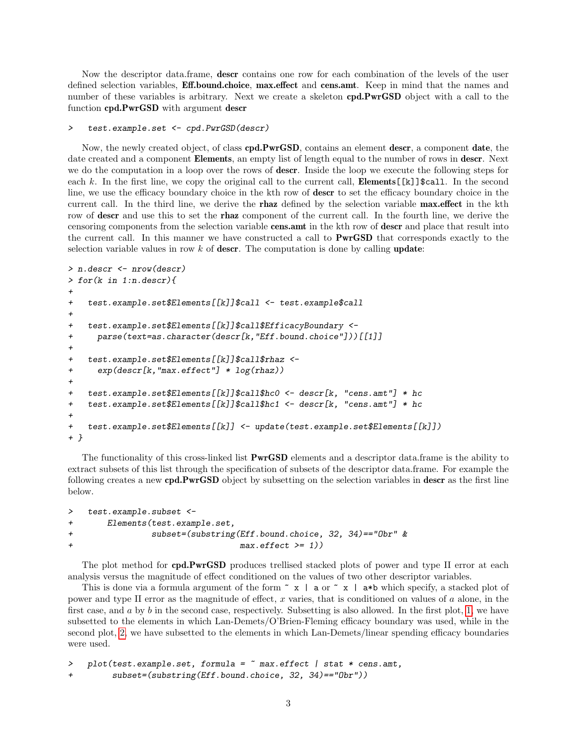Now the descriptor data.frame, descr contains one row for each combination of the levels of the user defined selection variables, **Eff.bound.choice**, max.effect and cens.amt. Keep in mind that the names and number of these variables is arbitrary. Next we create a skeleton **cpd.PwrGSD** object with a call to the function cpd.PwrGSD with argument descr

```
> test.example.set <- cpd.PwrGSD(descr)
```
Now, the newly created object, of class cpd.PwrGSD, contains an element descr, a component date, the date created and a component **Elements**, an empty list of length equal to the number of rows in **descr**. Next we do the computation in a loop over the rows of descr. Inside the loop we execute the following steps for each k. In the first line, we copy the original call to the current call, **Elements** [[k]] \$call. In the second line, we use the efficacy boundary choice in the kth row of descr to set the efficacy boundary choice in the current call. In the third line, we derive the **rhaz** defined by the selection variable **max.effect** in the kth row of **descr** and use this to set the **rhaz** component of the current call. In the fourth line, we derive the censoring components from the selection variable cens.amt in the kth row of descr and place that result into the current call. In this manner we have constructed a call to PwrGSD that corresponds exactly to the selection variable values in row  $k$  of descr. The computation is done by calling update:

```
> n.descr <- nrow(descr)
> for(k in 1:n.descr){
+
+ test.example.set$Elements[[k]]$call <- test.example$call
+
+ test.example.set$Elements[[k]]$call$EfficacyBoundary <-
+ parse(text=as.character(descr[k,"Eff.bound.choice"]))[[1]]
+
+ test.example.set$Elements[[k]]$call$rhaz <-
+ exp(descr[k,"max.effect"] * log(rhaz))
+
+ test.example.set$Elements[[k]]$call$hc0 <- descr[k, "cens.amt"] * hc
+ test.example.set$Elements[[k]]$call$hc1 <- descr[k, "cens.amt"] * hc
+
+ test.example.set$Elements[[k]] <- update(test.example.set$Elements[[k]])
+ }
```
The functionality of this cross-linked list **PwrGSD** elements and a descriptor data.frame is the ability to extract subsets of this list through the specification of subsets of the descriptor data.frame. For example the following creates a new cpd.PwrGSD object by subsetting on the selection variables in descr as the first line below.

```
> test.example.subset <-
+ Elements(test.example.set,
+ subset=(substring(Eff.bound.choice, 32, 34)=="Obr" &
+ max.effect >= 1))
```
The plot method for **cpd.PwrGSD** produces trellised stacked plots of power and type II error at each analysis versus the magnitude of effect conditioned on the values of two other descriptor variables.

This is done via a formula argument of the form  $\tilde{z}$  | a or  $\tilde{z}$  | a\*b which specify, a stacked plot of power and type II error as the magnitude of effect, x varies, that is conditioned on values of a alone, in the first case, and  $a$  by  $b$  in the second case, respectively. Subsetting is also allowed. In the first plot, [1,](#page-3-0) we have subsetted to the elements in which Lan-Demets/O'Brien-Fleming efficacy boundary was used, while in the second plot, [2,](#page-4-0) we have subsetted to the elements in which Lan-Demets/linear spending efficacy boundaries were used.

```
> plot(test.example.set, formula = \tilde{ } max.effect | stat * cens.amt,
+ subset=(substring(Eff.bound.choice, 32, 34)=="Obr"))
```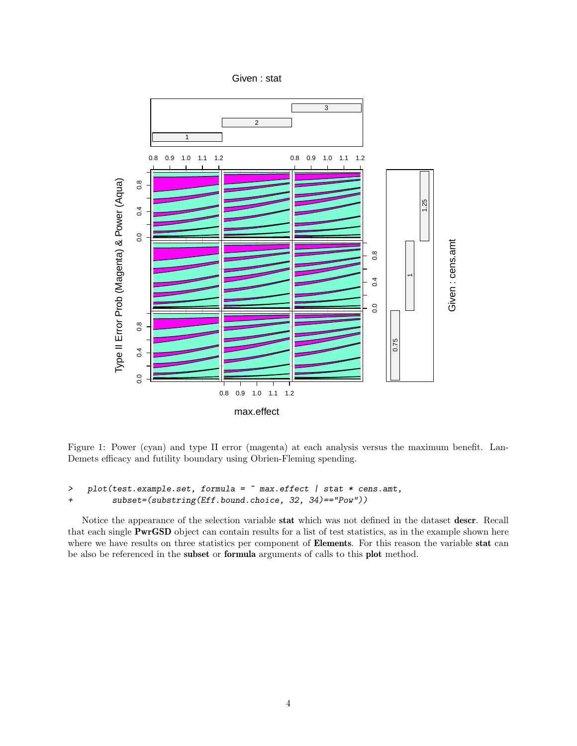Given : stat



<span id="page-3-0"></span>Figure 1: Power (cyan) and type II error (magenta) at each analysis versus the maximum benefit. Lan-Demets efficacy and futility boundary using Obrien-Fleming spending.

```
> plot(test.example.set, formula = \tilde{ } max.effect | stat * cens.amt,
+ subset=(substring(Eff.bound.choice, 32, 34)=="Pow"))
```
Notice the appearance of the selection variable stat which was not defined in the dataset descr. Recall that each single PwrGSD object can contain results for a list of test statistics, as in the example shown here where we have results on three statistics per component of Elements. For this reason the variable stat can be also be referenced in the subset or formula arguments of calls to this plot method.